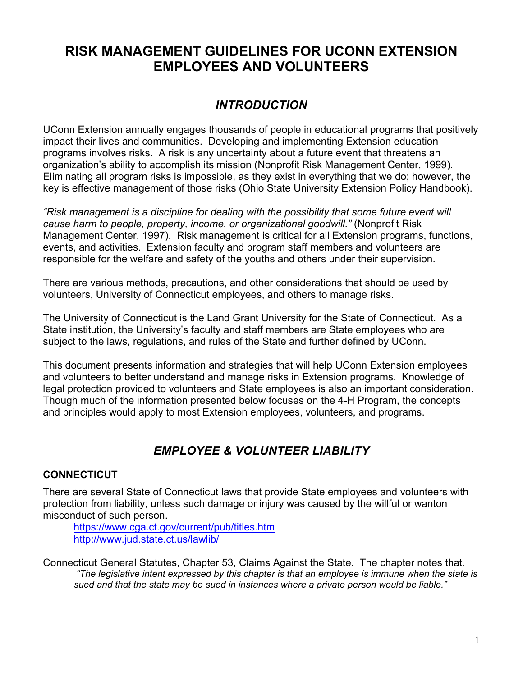# **RISK MANAGEMENT GUIDELINES FOR UCONN EXTENSION EMPLOYEES AND VOLUNTEERS**

# *INTRODUCTION*

UConn Extension annually engages thousands of people in educational programs that positively impact their lives and communities. Developing and implementing Extension education programs involves risks. A risk is any uncertainty about a future event that threatens an organization's ability to accomplish its mission (Nonprofit Risk Management Center, 1999). Eliminating all program risks is impossible, as they exist in everything that we do; however, the key is effective management of those risks (Ohio State University Extension Policy Handbook).

*"Risk management is a discipline for dealing with the possibility that some future event will cause harm to people, property, income, or organizational goodwill."* (Nonprofit Risk Management Center, 1997). Risk management is critical for all Extension programs, functions, events, and activities. Extension faculty and program staff members and volunteers are responsible for the welfare and safety of the youths and others under their supervision.

There are various methods, precautions, and other considerations that should be used by volunteers, University of Connecticut employees, and others to manage risks.

The University of Connecticut is the Land Grant University for the State of Connecticut. As a State institution, the University's faculty and staff members are State employees who are subject to the laws, regulations, and rules of the State and further defined by UConn.

This document presents information and strategies that will help UConn Extension employees and volunteers to better understand and manage risks in Extension programs. Knowledge of legal protection provided to volunteers and State employees is also an important consideration. Though much of the information presented below focuses on the 4-H Program, the concepts and principles would apply to most Extension employees, volunteers, and programs.

# *EMPLOYEE & VOLUNTEER LIABILITY*

## **CONNECTICUT**

There are several State of Connecticut laws that provide State employees and volunteers with protection from liability, unless such damage or injury was caused by the willful or wanton misconduct of such person.

https://www.cga.ct.gov/current/pub/titles.htm http://www.jud.state.ct.us/lawlib/

Connecticut General Statutes, Chapter 53, Claims Against the State. The chapter notes that: *"The legislative intent expressed by this chapter is that an employee is immune when the state is sued and that the state may be sued in instances where a private person would be liable."*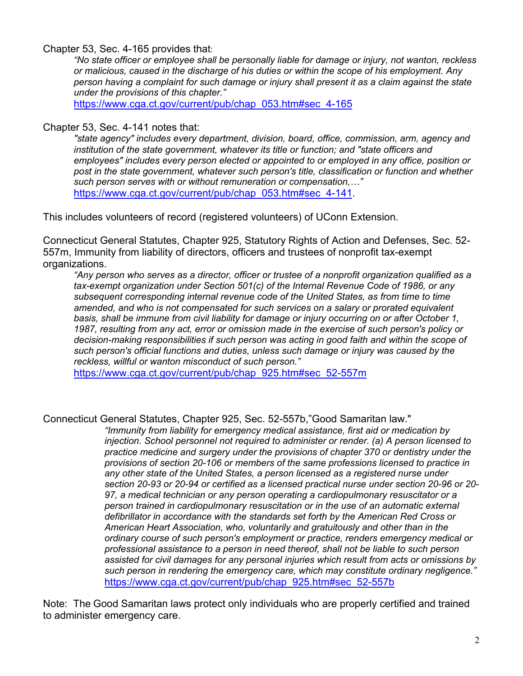#### Chapter 53, Sec. 4-165 provides that:

*"No state officer or employee shall be personally liable for damage or injury, not wanton, reckless or malicious, caused in the discharge of his duties or within the scope of his employment. Any person having a complaint for such damage or injury shall present it as a claim against the state under the provisions of this chapter."*

https://www.cga.ct.gov/current/pub/chap\_053.htm#sec\_4-165

#### Chapter 53, Sec. 4-141 notes that:

*"state agency" includes every department, division, board, office, commission, arm, agency and institution of the state government, whatever its title or function; and "state officers and employees" includes every person elected or appointed to or employed in any office, position or post in the state government, whatever such person's title, classification or function and whether such person serves with or without remuneration or compensation,…"* https://www.cga.ct.gov/current/pub/chap\_053.htm#sec\_4-141.

This includes volunteers of record (registered volunteers) of UConn Extension.

Connecticut General Statutes, Chapter 925, Statutory Rights of Action and Defenses, Sec. 52- 557m, Immunity from liability of directors, officers and trustees of nonprofit tax-exempt organizations.

*"Any person who serves as a director, officer or trustee of a nonprofit organization qualified as a tax-exempt organization under Section 501(c) of the Internal Revenue Code of 1986, or any subsequent corresponding internal revenue code of the United States, as from time to time amended, and who is not compensated for such services on a salary or prorated equivalent basis, shall be immune from civil liability for damage or injury occurring on or after October 1, 1987, resulting from any act, error or omission made in the exercise of such person's policy or decision-making responsibilities if such person was acting in good faith and within the scope of such person's official functions and duties, unless such damage or injury was caused by the reckless, willful or wanton misconduct of such person."* 

https://www.cga.ct.gov/current/pub/chap\_925.htm#sec\_52-557m

#### Connecticut General Statutes, Chapter 925, Sec. 52-557b,"Good Samaritan law."

*"Immunity from liability for emergency medical assistance, first aid or medication by injection. School personnel not required to administer or render. (a) A person licensed to practice medicine and surgery under the provisions of chapter 370 or dentistry under the provisions of section 20-106 or members of the same professions licensed to practice in any other state of the United States, a person licensed as a registered nurse under section 20-93 or 20-94 or certified as a licensed practical nurse under section 20-96 or 20- 97, a medical technician or any person operating a cardiopulmonary resuscitator or a person trained in cardiopulmonary resuscitation or in the use of an automatic external defibrillator in accordance with the standards set forth by the American Red Cross or American Heart Association, who, voluntarily and gratuitously and other than in the ordinary course of such person's employment or practice, renders emergency medical or professional assistance to a person in need thereof, shall not be liable to such person assisted for civil damages for any personal injuries which result from acts or omissions by such person in rendering the emergency care, which may constitute ordinary negligence."*  https://www.cga.ct.gov/current/pub/chap\_925.htm#sec\_52-557b

Note: The Good Samaritan laws protect only individuals who are properly certified and trained to administer emergency care.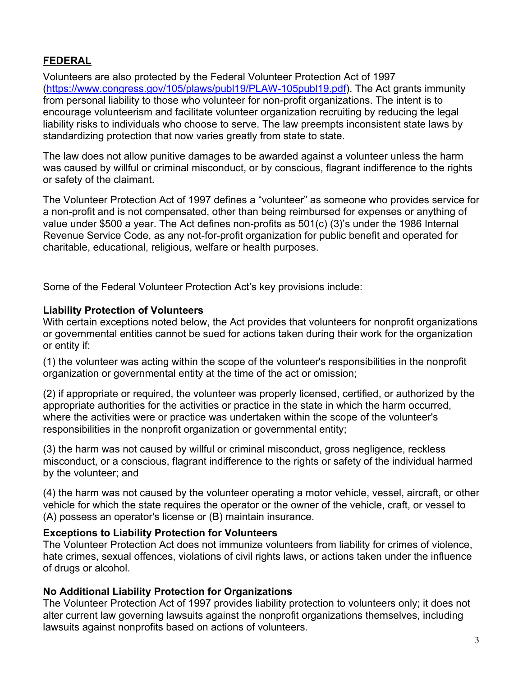# **FEDERAL**

Volunteers are also protected by the Federal Volunteer Protection Act of 1997 (https://www.congress.gov/105/plaws/publ19/PLAW-105publ19.pdf). The Act grants immunity from personal liability to those who volunteer for non-profit organizations. The intent is to encourage volunteerism and facilitate volunteer organization recruiting by reducing the legal liability risks to individuals who choose to serve. The law preempts inconsistent state laws by standardizing protection that now varies greatly from state to state.

The law does not allow punitive damages to be awarded against a volunteer unless the harm was caused by willful or criminal misconduct, or by conscious, flagrant indifference to the rights or safety of the claimant.

The Volunteer Protection Act of 1997 defines a "volunteer" as someone who provides service for a non-profit and is not compensated, other than being reimbursed for expenses or anything of value under \$500 a year. The Act defines non-profits as 501(c) (3)'s under the 1986 Internal Revenue Service Code, as any not-for-profit organization for public benefit and operated for charitable, educational, religious, welfare or health purposes.

Some of the Federal Volunteer Protection Act's key provisions include:

#### **Liability Protection of Volunteers**

With certain exceptions noted below, the Act provides that volunteers for nonprofit organizations or governmental entities cannot be sued for actions taken during their work for the organization or entity if:

(1) the volunteer was acting within the scope of the volunteer's responsibilities in the nonprofit organization or governmental entity at the time of the act or omission;

(2) if appropriate or required, the volunteer was properly licensed, certified, or authorized by the appropriate authorities for the activities or practice in the state in which the harm occurred, where the activities were or practice was undertaken within the scope of the volunteer's responsibilities in the nonprofit organization or governmental entity;

(3) the harm was not caused by willful or criminal misconduct, gross negligence, reckless misconduct, or a conscious, flagrant indifference to the rights or safety of the individual harmed by the volunteer; and

(4) the harm was not caused by the volunteer operating a motor vehicle, vessel, aircraft, or other vehicle for which the state requires the operator or the owner of the vehicle, craft, or vessel to (A) possess an operator's license or (B) maintain insurance.

#### **Exceptions to Liability Protection for Volunteers**

The Volunteer Protection Act does not immunize volunteers from liability for crimes of violence, hate crimes, sexual offences, violations of civil rights laws, or actions taken under the influence of drugs or alcohol.

### **No Additional Liability Protection for Organizations**

The Volunteer Protection Act of 1997 provides liability protection to volunteers only; it does not alter current law governing lawsuits against the nonprofit organizations themselves, including lawsuits against nonprofits based on actions of volunteers.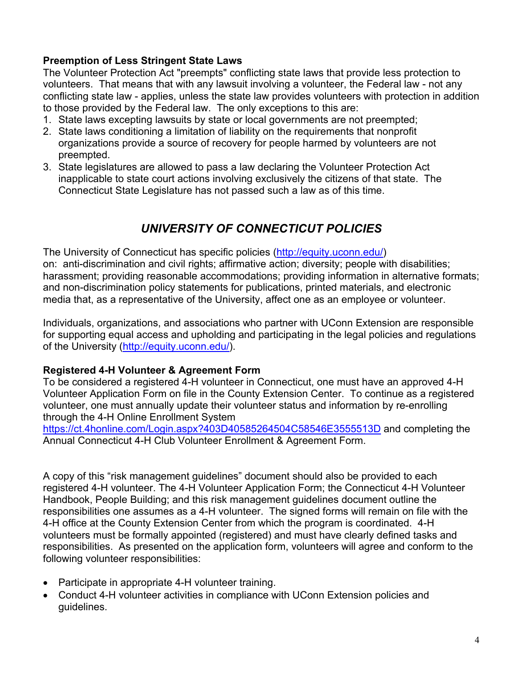### **Preemption of Less Stringent State Laws**

The Volunteer Protection Act "preempts" conflicting state laws that provide less protection to volunteers. That means that with any lawsuit involving a volunteer, the Federal law - not any conflicting state law - applies, unless the state law provides volunteers with protection in addition to those provided by the Federal law. The only exceptions to this are:

- 1. State laws excepting lawsuits by state or local governments are not preempted;
- 2. State laws conditioning a limitation of liability on the requirements that nonprofit organizations provide a source of recovery for people harmed by volunteers are not preempted.
- 3. State legislatures are allowed to pass a law declaring the Volunteer Protection Act inapplicable to state court actions involving exclusively the citizens of that state. The Connecticut State Legislature has not passed such a law as of this time.

# *UNIVERSITY OF CONNECTICUT POLICIES*

The University of Connecticut has specific policies (http://equity.uconn.edu/) on: anti-discrimination and civil rights; affirmative action; diversity; people with disabilities; harassment; providing reasonable accommodations; providing information in alternative formats; and non-discrimination policy statements for publications, printed materials, and electronic media that, as a representative of the University, affect one as an employee or volunteer.

Individuals, organizations, and associations who partner with UConn Extension are responsible for supporting equal access and upholding and participating in the legal policies and regulations of the University (http://equity.uconn.edu/).

### **Registered 4-H Volunteer & Agreement Form**

To be considered a registered 4-H volunteer in Connecticut, one must have an approved 4-H Volunteer Application Form on file in the County Extension Center. To continue as a registered volunteer, one must annually update their volunteer status and information by re-enrolling through the 4-H Online Enrollment System

https://ct.4honline.com/Login.aspx?403D40585264504C58546E3555513D and completing the Annual Connecticut 4-H Club Volunteer Enrollment & Agreement Form.

A copy of this "risk management guidelines" document should also be provided to each registered 4-H volunteer. The 4-H Volunteer Application Form; the Connecticut 4-H Volunteer Handbook, People Building; and this risk management guidelines document outline the responsibilities one assumes as a 4-H volunteer. The signed forms will remain on file with the 4-H office at the County Extension Center from which the program is coordinated. 4-H volunteers must be formally appointed (registered) and must have clearly defined tasks and responsibilities. As presented on the application form, volunteers will agree and conform to the following volunteer responsibilities:

- Participate in appropriate 4-H volunteer training.
- Conduct 4-H volunteer activities in compliance with UConn Extension policies and guidelines.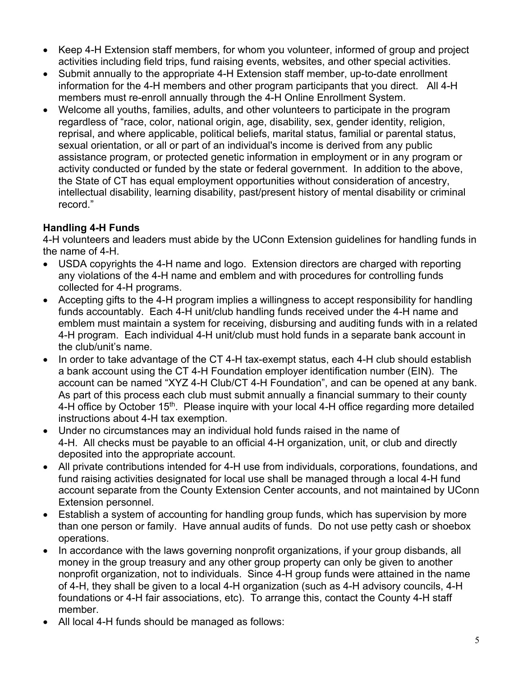- Keep 4-H Extension staff members, for whom you volunteer, informed of group and project activities including field trips, fund raising events, websites, and other special activities.
- Submit annually to the appropriate 4-H Extension staff member, up-to-date enrollment information for the 4-H members and other program participants that you direct. All 4-H members must re-enroll annually through the 4-H Online Enrollment System.
- Welcome all youths, families, adults, and other volunteers to participate in the program regardless of "race, color, national origin, age, disability, sex, gender identity, religion, reprisal, and where applicable, political beliefs, marital status, familial or parental status, sexual orientation, or all or part of an individual's income is derived from any public assistance program, or protected genetic information in employment or in any program or activity conducted or funded by the state or federal government. In addition to the above, the State of CT has equal employment opportunities without consideration of ancestry, intellectual disability, learning disability, past/present history of mental disability or criminal record."

## **Handling 4-H Funds**

4-H volunteers and leaders must abide by the UConn Extension guidelines for handling funds in the name of 4-H.

- USDA copyrights the 4-H name and logo. Extension directors are charged with reporting any violations of the 4-H name and emblem and with procedures for controlling funds collected for 4-H programs.
- Accepting gifts to the 4-H program implies a willingness to accept responsibility for handling funds accountably. Each 4-H unit/club handling funds received under the 4-H name and emblem must maintain a system for receiving, disbursing and auditing funds with in a related 4-H program. Each individual 4-H unit/club must hold funds in a separate bank account in the club/unit's name.
- In order to take advantage of the CT 4-H tax-exempt status, each 4-H club should establish a bank account using the CT 4-H Foundation employer identification number (EIN). The account can be named "XYZ 4-H Club/CT 4-H Foundation", and can be opened at any bank. As part of this process each club must submit annually a financial summary to their county 4-H office by October 15<sup>th</sup>. Please inquire with your local 4-H office regarding more detailed instructions about 4-H tax exemption.
- Under no circumstances may an individual hold funds raised in the name of 4-H. All checks must be payable to an official 4-H organization, unit, or club and directly deposited into the appropriate account.
- All private contributions intended for 4-H use from individuals, corporations, foundations, and fund raising activities designated for local use shall be managed through a local 4-H fund account separate from the County Extension Center accounts, and not maintained by UConn Extension personnel.
- Establish a system of accounting for handling group funds, which has supervision by more than one person or family. Have annual audits of funds. Do not use petty cash or shoebox operations.
- In accordance with the laws governing nonprofit organizations, if your group disbands, all money in the group treasury and any other group property can only be given to another nonprofit organization, not to individuals. Since 4-H group funds were attained in the name of 4-H, they shall be given to a local 4-H organization (such as 4-H advisory councils, 4-H foundations or 4-H fair associations, etc). To arrange this, contact the County 4-H staff member.
- All local 4-H funds should be managed as follows: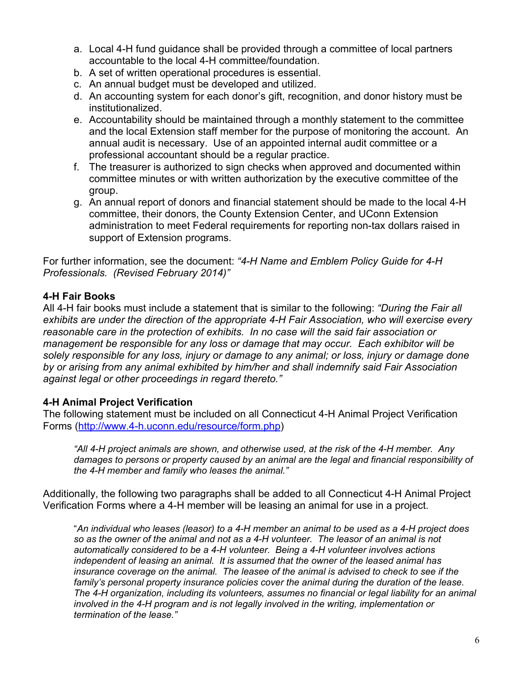- a. Local 4-H fund guidance shall be provided through a committee of local partners accountable to the local 4-H committee/foundation.
- b. A set of written operational procedures is essential.
- c. An annual budget must be developed and utilized.
- d. An accounting system for each donor's gift, recognition, and donor history must be institutionalized.
- e. Accountability should be maintained through a monthly statement to the committee and the local Extension staff member for the purpose of monitoring the account. An annual audit is necessary. Use of an appointed internal audit committee or a professional accountant should be a regular practice.
- f. The treasurer is authorized to sign checks when approved and documented within committee minutes or with written authorization by the executive committee of the group.
- g. An annual report of donors and financial statement should be made to the local 4-H committee, their donors, the County Extension Center, and UConn Extension administration to meet Federal requirements for reporting non-tax dollars raised in support of Extension programs.

For further information, see the document: *"4-H Name and Emblem Policy Guide for 4-H Professionals. (Revised February 2014)"*

### **4-H Fair Books**

All 4-H fair books must include a statement that is similar to the following: *"During the Fair all exhibits are under the direction of the appropriate 4-H Fair Association, who will exercise every reasonable care in the protection of exhibits. In no case will the said fair association or management be responsible for any loss or damage that may occur. Each exhibitor will be solely responsible for any loss, injury or damage to any animal; or loss, injury or damage done by or arising from any animal exhibited by him/her and shall indemnify said Fair Association against legal or other proceedings in regard thereto."*

### **4-H Animal Project Verification**

The following statement must be included on all Connecticut 4-H Animal Project Verification Forms (http://www.4-h.uconn.edu/resource/form.php)

*"All 4-H project animals are shown, and otherwise used, at the risk of the 4-H member. Any damages to persons or property caused by an animal are the legal and financial responsibility of the 4-H member and family who leases the animal."*

Additionally, the following two paragraphs shall be added to all Connecticut 4-H Animal Project Verification Forms where a 4-H member will be leasing an animal for use in a project.

"*An individual who leases (leasor) to a 4-H member an animal to be used as a 4-H project does so as the owner of the animal and not as a 4-H volunteer. The leasor of an animal is not automatically considered to be a 4-H volunteer. Being a 4-H volunteer involves actions independent of leasing an animal. It is assumed that the owner of the leased animal has insurance coverage on the animal. The leasee of the animal is advised to check to see if the family's personal property insurance policies cover the animal during the duration of the lease. The 4-H organization, including its volunteers, assumes no financial or legal liability for an animal involved in the 4-H program and is not legally involved in the writing, implementation or termination of the lease."*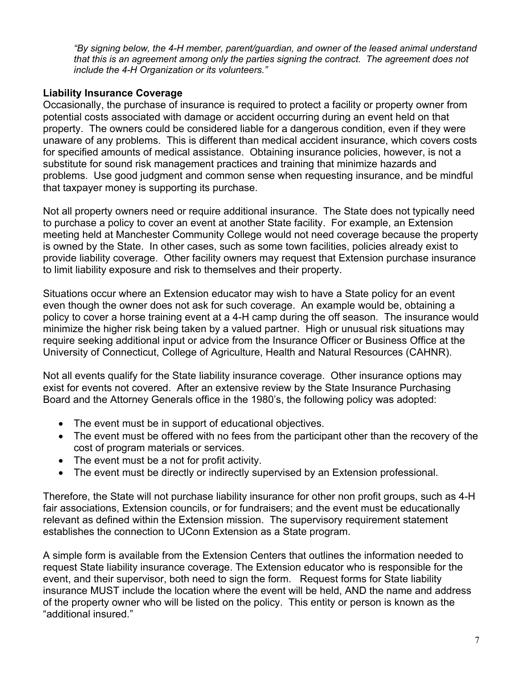*"By signing below, the 4-H member, parent/guardian, and owner of the leased animal understand that this is an agreement among only the parties signing the contract. The agreement does not include the 4-H Organization or its volunteers."*

### **Liability Insurance Coverage**

Occasionally, the purchase of insurance is required to protect a facility or property owner from potential costs associated with damage or accident occurring during an event held on that property. The owners could be considered liable for a dangerous condition, even if they were unaware of any problems. This is different than medical accident insurance, which covers costs for specified amounts of medical assistance. Obtaining insurance policies, however, is not a substitute for sound risk management practices and training that minimize hazards and problems. Use good judgment and common sense when requesting insurance, and be mindful that taxpayer money is supporting its purchase.

Not all property owners need or require additional insurance. The State does not typically need to purchase a policy to cover an event at another State facility. For example, an Extension meeting held at Manchester Community College would not need coverage because the property is owned by the State. In other cases, such as some town facilities, policies already exist to provide liability coverage. Other facility owners may request that Extension purchase insurance to limit liability exposure and risk to themselves and their property.

Situations occur where an Extension educator may wish to have a State policy for an event even though the owner does not ask for such coverage. An example would be, obtaining a policy to cover a horse training event at a 4-H camp during the off season. The insurance would minimize the higher risk being taken by a valued partner. High or unusual risk situations may require seeking additional input or advice from the Insurance Officer or Business Office at the University of Connecticut, College of Agriculture, Health and Natural Resources (CAHNR).

Not all events qualify for the State liability insurance coverage. Other insurance options may exist for events not covered. After an extensive review by the State Insurance Purchasing Board and the Attorney Generals office in the 1980's, the following policy was adopted:

- The event must be in support of educational objectives.
- The event must be offered with no fees from the participant other than the recovery of the cost of program materials or services.
- The event must be a not for profit activity.
- The event must be directly or indirectly supervised by an Extension professional.

Therefore, the State will not purchase liability insurance for other non profit groups, such as 4-H fair associations, Extension councils, or for fundraisers; and the event must be educationally relevant as defined within the Extension mission. The supervisory requirement statement establishes the connection to UConn Extension as a State program.

A simple form is available from the Extension Centers that outlines the information needed to request State liability insurance coverage. The Extension educator who is responsible for the event, and their supervisor, both need to sign the form. Request forms for State liability insurance MUST include the location where the event will be held, AND the name and address of the property owner who will be listed on the policy. This entity or person is known as the "additional insured."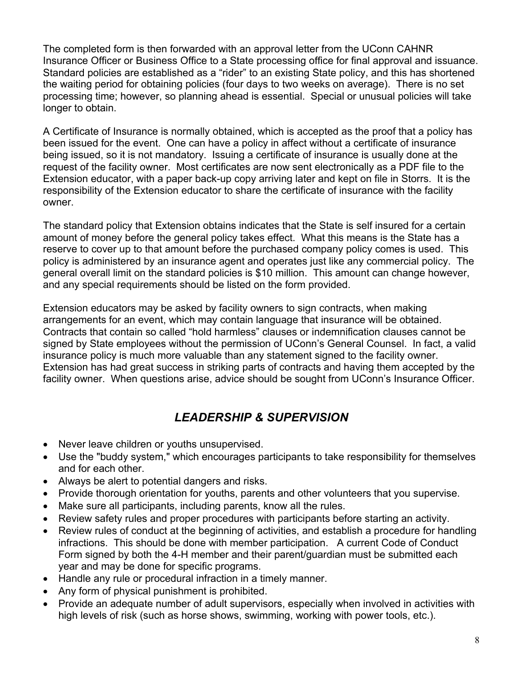The completed form is then forwarded with an approval letter from the UConn CAHNR Insurance Officer or Business Office to a State processing office for final approval and issuance. Standard policies are established as a "rider" to an existing State policy, and this has shortened the waiting period for obtaining policies (four days to two weeks on average). There is no set processing time; however, so planning ahead is essential. Special or unusual policies will take longer to obtain.

A Certificate of Insurance is normally obtained, which is accepted as the proof that a policy has been issued for the event. One can have a policy in affect without a certificate of insurance being issued, so it is not mandatory. Issuing a certificate of insurance is usually done at the request of the facility owner. Most certificates are now sent electronically as a PDF file to the Extension educator, with a paper back-up copy arriving later and kept on file in Storrs. It is the responsibility of the Extension educator to share the certificate of insurance with the facility owner.

The standard policy that Extension obtains indicates that the State is self insured for a certain amount of money before the general policy takes effect. What this means is the State has a reserve to cover up to that amount before the purchased company policy comes is used. This policy is administered by an insurance agent and operates just like any commercial policy. The general overall limit on the standard policies is \$10 million. This amount can change however, and any special requirements should be listed on the form provided.

Extension educators may be asked by facility owners to sign contracts, when making arrangements for an event, which may contain language that insurance will be obtained. Contracts that contain so called "hold harmless" clauses or indemnification clauses cannot be signed by State employees without the permission of UConn's General Counsel. In fact, a valid insurance policy is much more valuable than any statement signed to the facility owner. Extension has had great success in striking parts of contracts and having them accepted by the facility owner. When questions arise, advice should be sought from UConn's Insurance Officer.

# *LEADERSHIP & SUPERVISION*

- Never leave children or youths unsupervised.
- Use the "buddy system," which encourages participants to take responsibility for themselves and for each other.
- Always be alert to potential dangers and risks.
- Provide thorough orientation for youths, parents and other volunteers that you supervise.
- Make sure all participants, including parents, know all the rules.
- Review safety rules and proper procedures with participants before starting an activity.
- Review rules of conduct at the beginning of activities, and establish a procedure for handling infractions. This should be done with member participation. A current Code of Conduct Form signed by both the 4-H member and their parent/guardian must be submitted each year and may be done for specific programs.
- Handle any rule or procedural infraction in a timely manner.
- Any form of physical punishment is prohibited.
- Provide an adequate number of adult supervisors, especially when involved in activities with high levels of risk (such as horse shows, swimming, working with power tools, etc.).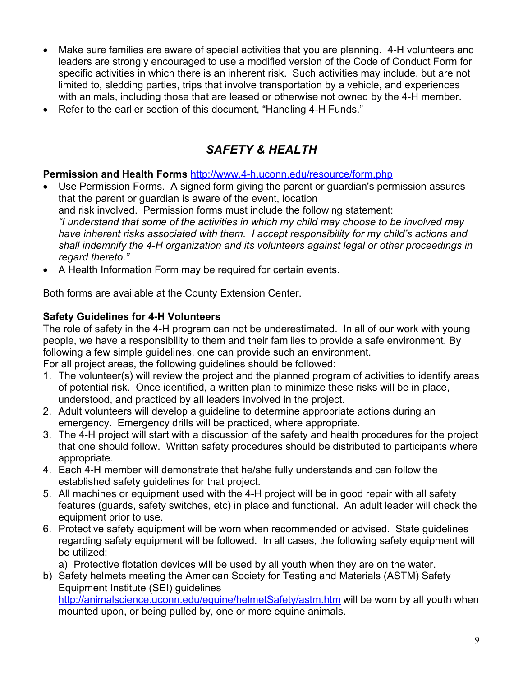- Make sure families are aware of special activities that you are planning. 4-H volunteers and leaders are strongly encouraged to use a modified version of the Code of Conduct Form for specific activities in which there is an inherent risk. Such activities may include, but are not limited to, sledding parties, trips that involve transportation by a vehicle, and experiences with animals, including those that are leased or otherwise not owned by the 4-H member.
- Refer to the earlier section of this document, "Handling 4-H Funds."

# *SAFETY & HEALTH*

## **Permission and Health Forms** http://www.4-h.uconn.edu/resource/form.php

- Use Permission Forms. A signed form giving the parent or guardian's permission assures that the parent or guardian is aware of the event, location and risk involved. Permission forms must include the following statement: *"I understand that some of the activities in which my child may choose to be involved may have inherent risks associated with them. I accept responsibility for my child's actions and shall indemnify the 4-H organization and its volunteers against legal or other proceedings in regard thereto."*
- A Health Information Form may be required for certain events.

Both forms are available at the County Extension Center.

## **Safety Guidelines for 4-H Volunteers**

The role of safety in the 4-H program can not be underestimated. In all of our work with young people, we have a responsibility to them and their families to provide a safe environment. By following a few simple guidelines, one can provide such an environment.

For all project areas, the following guidelines should be followed:

- 1. The volunteer(s) will review the project and the planned program of activities to identify areas of potential risk. Once identified, a written plan to minimize these risks will be in place, understood, and practiced by all leaders involved in the project.
- 2. Adult volunteers will develop a guideline to determine appropriate actions during an emergency. Emergency drills will be practiced, where appropriate.
- 3. The 4-H project will start with a discussion of the safety and health procedures for the project that one should follow. Written safety procedures should be distributed to participants where appropriate.
- 4. Each 4-H member will demonstrate that he/she fully understands and can follow the established safety guidelines for that project.
- 5. All machines or equipment used with the 4-H project will be in good repair with all safety features (guards, safety switches, etc) in place and functional. An adult leader will check the equipment prior to use.
- 6. Protective safety equipment will be worn when recommended or advised. State guidelines regarding safety equipment will be followed. In all cases, the following safety equipment will be utilized:

a) Protective flotation devices will be used by all youth when they are on the water.

b) Safety helmets meeting the American Society for Testing and Materials (ASTM) Safety Equipment Institute (SEI) guidelines

http://animalscience.uconn.edu/equine/helmetSafety/astm.htm will be worn by all youth when mounted upon, or being pulled by, one or more equine animals.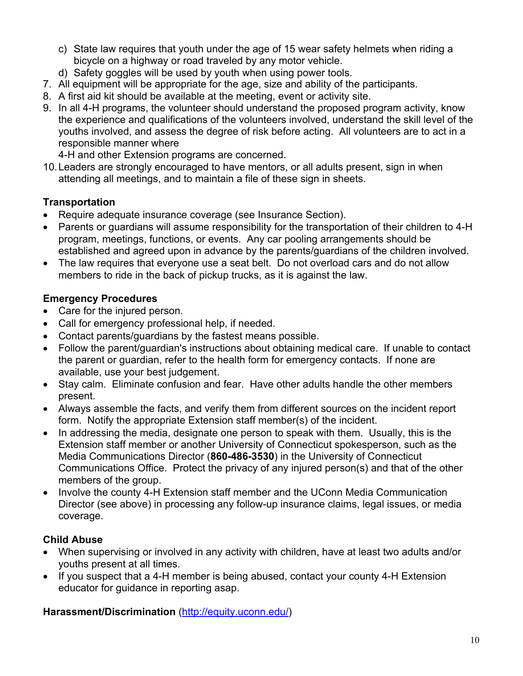- c) State law requires that youth under the age of 15 wear safety helmets when riding a bicycle on a highway or road traveled by any motor vehicle.
- d) Safety goggles will be used by youth when using power tools.
- 7. All equipment will be appropriate for the age, size and ability of the participants.
- 8. A first aid kit should be available at the meeting, event or activity site.
- 9. In all 4-H programs, the volunteer should understand the proposed program activity, know the experience and qualifications of the volunteers involved, understand the skill level of the youths involved, and assess the degree of risk before acting. All volunteers are to act in a responsible manner where
	- 4-H and other Extension programs are concerned.
- 10.Leaders are strongly encouraged to have mentors, or all adults present, sign in when attending all meetings, and to maintain a file of these sign in sheets.

# **Transportation**

- Require adequate insurance coverage (see Insurance Section).
- Parents or guardians will assume responsibility for the transportation of their children to 4-H program, meetings, functions, or events. Any car pooling arrangements should be established and agreed upon in advance by the parents/guardians of the children involved.
- The law requires that everyone use a seat belt. Do not overload cars and do not allow members to ride in the back of pickup trucks, as it is against the law.

# **Emergency Procedures**

- Care for the injured person.
- Call for emergency professional help, if needed.
- Contact parents/guardians by the fastest means possible.
- Follow the parent/guardian's instructions about obtaining medical care. If unable to contact the parent or guardian, refer to the health form for emergency contacts. If none are available, use your best judgement.
- Stay calm. Eliminate confusion and fear. Have other adults handle the other members present.
- Always assemble the facts, and verify them from different sources on the incident report form. Notify the appropriate Extension staff member(s) of the incident.
- In addressing the media, designate one person to speak with them. Usually, this is the Extension staff member or another University of Connecticut spokesperson, such as the Media Communications Director (**860-486-3530**) in the University of Connecticut Communications Office. Protect the privacy of any injured person(s) and that of the other members of the group.
- Involve the county 4-H Extension staff member and the UConn Media Communication Director (see above) in processing any follow-up insurance claims, legal issues, or media coverage.

## **Child Abuse**

- When supervising or involved in any activity with children, have at least two adults and/or youths present at all times.
- If you suspect that a 4-H member is being abused, contact your county 4-H Extension educator for guidance in reporting asap.

### **Harassment/Discrimination** (http://equity.uconn.edu/)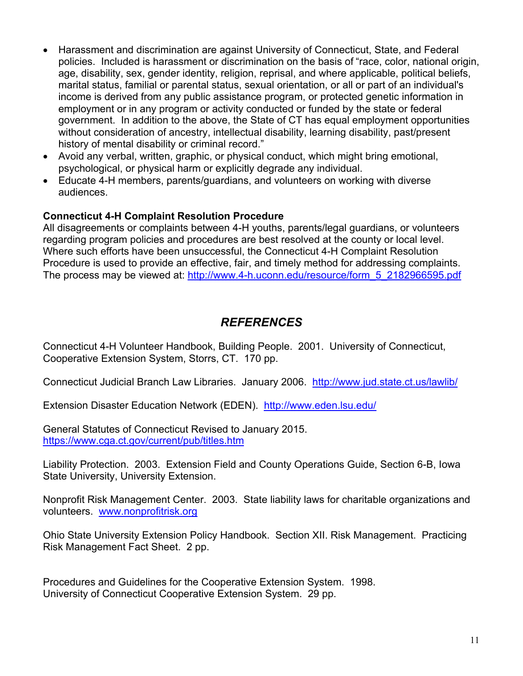- Harassment and discrimination are against University of Connecticut, State, and Federal policies. Included is harassment or discrimination on the basis of "race, color, national origin, age, disability, sex, gender identity, religion, reprisal, and where applicable, political beliefs, marital status, familial or parental status, sexual orientation, or all or part of an individual's income is derived from any public assistance program, or protected genetic information in employment or in any program or activity conducted or funded by the state or federal government. In addition to the above, the State of CT has equal employment opportunities without consideration of ancestry, intellectual disability, learning disability, past/present history of mental disability or criminal record."
- Avoid any verbal, written, graphic, or physical conduct, which might bring emotional, psychological, or physical harm or explicitly degrade any individual.
- Educate 4-H members, parents/guardians, and volunteers on working with diverse audiences.

### **Connecticut 4-H Complaint Resolution Procedure**

All disagreements or complaints between 4-H youths, parents/legal guardians, or volunteers regarding program policies and procedures are best resolved at the county or local level. Where such efforts have been unsuccessful, the Connecticut 4-H Complaint Resolution Procedure is used to provide an effective, fair, and timely method for addressing complaints. The process may be viewed at: http://www.4-h.uconn.edu/resource/form\_5\_2182966595.pdf

# *REFERENCES*

Connecticut 4-H Volunteer Handbook, Building People. 2001. University of Connecticut, Cooperative Extension System, Storrs, CT. 170 pp.

Connecticut Judicial Branch Law Libraries. January 2006. http://www.jud.state.ct.us/lawlib/

Extension Disaster Education Network (EDEN). http://www.eden.lsu.edu/

General Statutes of Connecticut Revised to January 2015. https://www.cga.ct.gov/current/pub/titles.htm

Liability Protection. 2003. Extension Field and County Operations Guide, Section 6-B, Iowa State University, University Extension.

Nonprofit Risk Management Center. 2003. State liability laws for charitable organizations and volunteers. www.nonprofitrisk.org

Ohio State University Extension Policy Handbook. Section XII. Risk Management. Practicing Risk Management Fact Sheet. 2 pp.

Procedures and Guidelines for the Cooperative Extension System. 1998. University of Connecticut Cooperative Extension System. 29 pp.